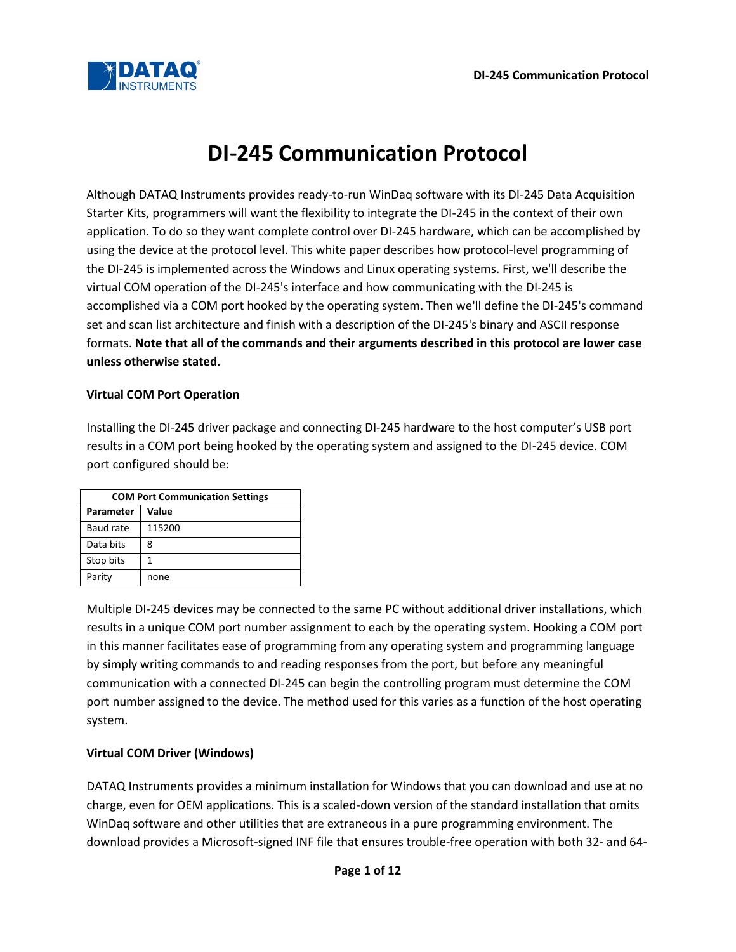

# **DI-245 Communication Protocol**

Although DATAQ Instruments provides ready-to-run WinDaq software with its DI-245 Data Acquisition Starter Kits, programmers will want the flexibility to integrate the DI-245 in the context of their own application. To do so they want complete control over DI-245 hardware, which can be accomplished by using the device at the protocol level. This white paper describes how protocol-level programming of the DI-245 is implemented across the Windows and Linux operating systems. First, we'll describe the virtual COM operation of the DI-245's interface and how communicating with the DI-245 is accomplished via a COM port hooked by the operating system. Then we'll define the DI-245's command set and scan list architecture and finish with a description of the DI-245's binary and ASCII response formats. **Note that all of the commands and their arguments described in this protocol are lower case unless otherwise stated.** 

#### **Virtual COM Port Operation**

Installing the DI-245 driver package and connecting DI-245 hardware to the host computer's USB port results in a COM port being hooked by the operating system and assigned to the DI-245 device. COM port configured should be:

| <b>COM Port Communication Settings</b> |        |  |  |  |  |  |  |  |  |
|----------------------------------------|--------|--|--|--|--|--|--|--|--|
| Value<br><b>Parameter</b>              |        |  |  |  |  |  |  |  |  |
| Baud rate                              | 115200 |  |  |  |  |  |  |  |  |
| Data bits                              | 8      |  |  |  |  |  |  |  |  |
| Stop bits                              |        |  |  |  |  |  |  |  |  |
| Parity                                 | none   |  |  |  |  |  |  |  |  |

Multiple DI-245 devices may be connected to the same PC without additional driver installations, which results in a unique COM port number assignment to each by the operating system. Hooking a COM port in this manner facilitates ease of programming from any operating system and programming language by simply writing commands to and reading responses from the port, but before any meaningful communication with a connected DI-245 can begin the controlling program must determine the COM port number assigned to the device. The method used for this varies as a function of the host operating system.

### **Virtual COM Driver (Windows)**

DATAQ Instruments provides a minimum installation for Windows that you can download and use at no charge, even for OEM applications. This is a scaled-down version of the standard installation that omits WinDaq software and other utilities that are extraneous in a pure programming environment. The download provides a Microsoft-signed INF file that ensures trouble-free operation with both 32- and 64-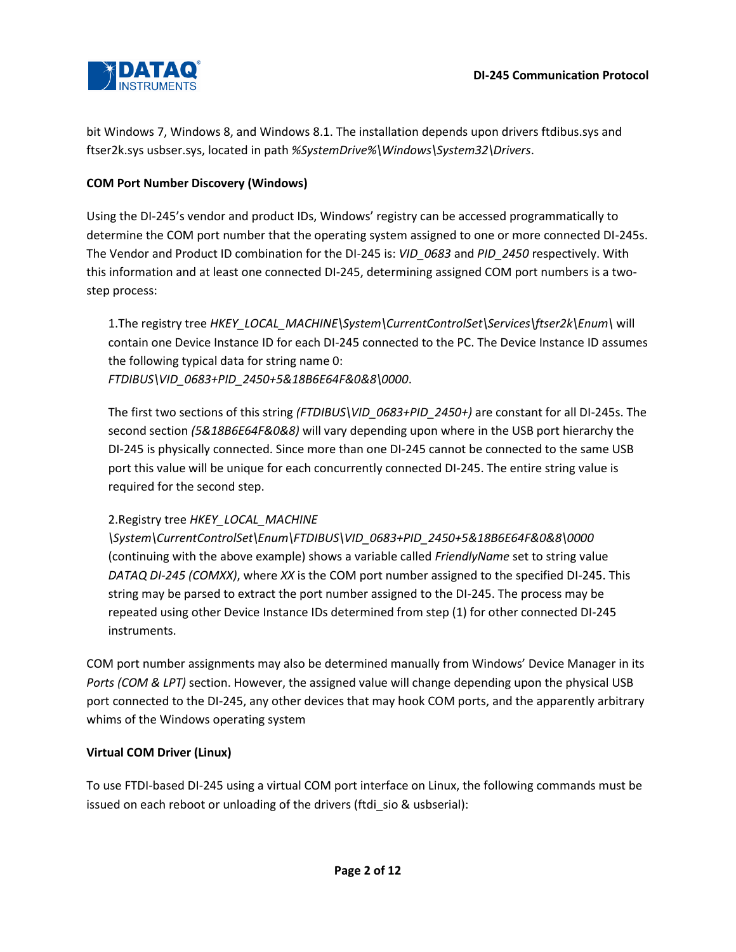

bit Windows 7, Windows 8, and Windows 8.1. The installation depends upon drivers ftdibus.sys and ftser2k.sys usbser.sys, located in path *%SystemDrive%\Windows\System32\Drivers*.

#### **COM Port Number Discovery (Windows)**

Using the DI-245's vendor and product IDs, Windows' registry can be accessed programmatically to determine the COM port number that the operating system assigned to one or more connected DI-245s. The Vendor and Product ID combination for the DI-245 is: *VID\_0683* and *PID\_2450* respectively. With this information and at least one connected DI-245, determining assigned COM port numbers is a twostep process:

1.The registry tree *HKEY\_LOCAL\_MACHINE\System\CurrentControlSet\Services\ftser2k\Enum\* will contain one Device Instance ID for each DI-245 connected to the PC. The Device Instance ID assumes the following typical data for string name 0: *FTDIBUS\VID\_0683+PID\_2450+5&18B6E64F&0&8\0000*.

The first two sections of this string *(FTDIBUS\VID\_0683+PID\_2450+)* are constant for all DI-245s. The second section *(5&18B6E64F&0&8)* will vary depending upon where in the USB port hierarchy the DI-245 is physically connected. Since more than one DI-245 cannot be connected to the same USB port this value will be unique for each concurrently connected DI-245. The entire string value is required for the second step.

### 2.Registry tree *HKEY\_LOCAL\_MACHINE*

*\System\CurrentControlSet\Enum\FTDIBUS\VID\_0683+PID\_2450+5&18B6E64F&0&8\0000* (continuing with the above example) shows a variable called *FriendlyName* set to string value *DATAQ DI-245 (COMXX)*, where *XX* is the COM port number assigned to the specified DI-245. This string may be parsed to extract the port number assigned to the DI-245. The process may be repeated using other Device Instance IDs determined from step (1) for other connected DI-245 instruments.

COM port number assignments may also be determined manually from Windows' Device Manager in its *Ports (COM & LPT)* section. However, the assigned value will change depending upon the physical USB port connected to the DI-245, any other devices that may hook COM ports, and the apparently arbitrary whims of the Windows operating system

### **Virtual COM Driver (Linux)**

To use FTDI-based DI-245 using a virtual COM port interface on Linux, the following commands must be issued on each reboot or unloading of the drivers (ftdi\_sio & usbserial):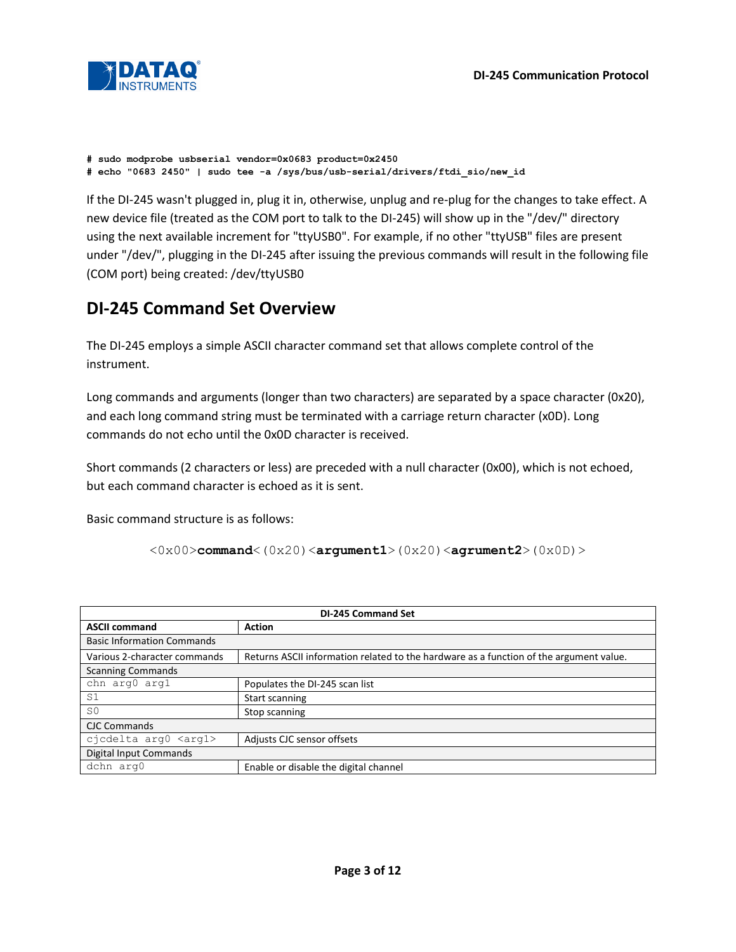

**# sudo modprobe usbserial vendor=0x0683 product=0x2450**

```
# echo "0683 2450" | sudo tee -a /sys/bus/usb-serial/drivers/ftdi_sio/new_id
```
If the DI-245 wasn't plugged in, plug it in, otherwise, unplug and re-plug for the changes to take effect. A new device file (treated as the COM port to talk to the DI-245) will show up in the "/dev/" directory using the next available increment for "ttyUSB0". For example, if no other "ttyUSB" files are present under "/dev/", plugging in the DI-245 after issuing the previous commands will result in the following file (COM port) being created: /dev/ttyUSB0

# **DI-245 Command Set Overview**

The DI-245 employs a simple ASCII character command set that allows complete control of the instrument.

Long commands and arguments (longer than two characters) are separated by a space character (0x20), and each long command string must be terminated with a carriage return character (x0D). Long commands do not echo until the 0x0D character is received.

Short commands (2 characters or less) are preceded with a null character (0x00), which is not echoed, but each command character is echoed as it is sent.

Basic command structure is as follows:

```
<0x00>command<(0x20)<argument1>(0x20)<agrument2>(0x0D)>
```

| <b>DI-245 Command Set</b>         |                                                                                        |  |  |  |  |  |  |  |  |
|-----------------------------------|----------------------------------------------------------------------------------------|--|--|--|--|--|--|--|--|
| <b>ASCII command</b>              | <b>Action</b>                                                                          |  |  |  |  |  |  |  |  |
| <b>Basic Information Commands</b> |                                                                                        |  |  |  |  |  |  |  |  |
| Various 2-character commands      | Returns ASCII information related to the hardware as a function of the argument value. |  |  |  |  |  |  |  |  |
| <b>Scanning Commands</b>          |                                                                                        |  |  |  |  |  |  |  |  |
| chn arg0 arg1                     | Populates the DI-245 scan list                                                         |  |  |  |  |  |  |  |  |
| S <sub>1</sub>                    | Start scanning                                                                         |  |  |  |  |  |  |  |  |
| SO                                | Stop scanning                                                                          |  |  |  |  |  |  |  |  |
| <b>CJC Commands</b>               |                                                                                        |  |  |  |  |  |  |  |  |
| cicdelta arg0 <arg1></arg1>       | Adjusts CJC sensor offsets                                                             |  |  |  |  |  |  |  |  |
| Digital Input Commands            |                                                                                        |  |  |  |  |  |  |  |  |
| dchn arg0                         | Enable or disable the digital channel                                                  |  |  |  |  |  |  |  |  |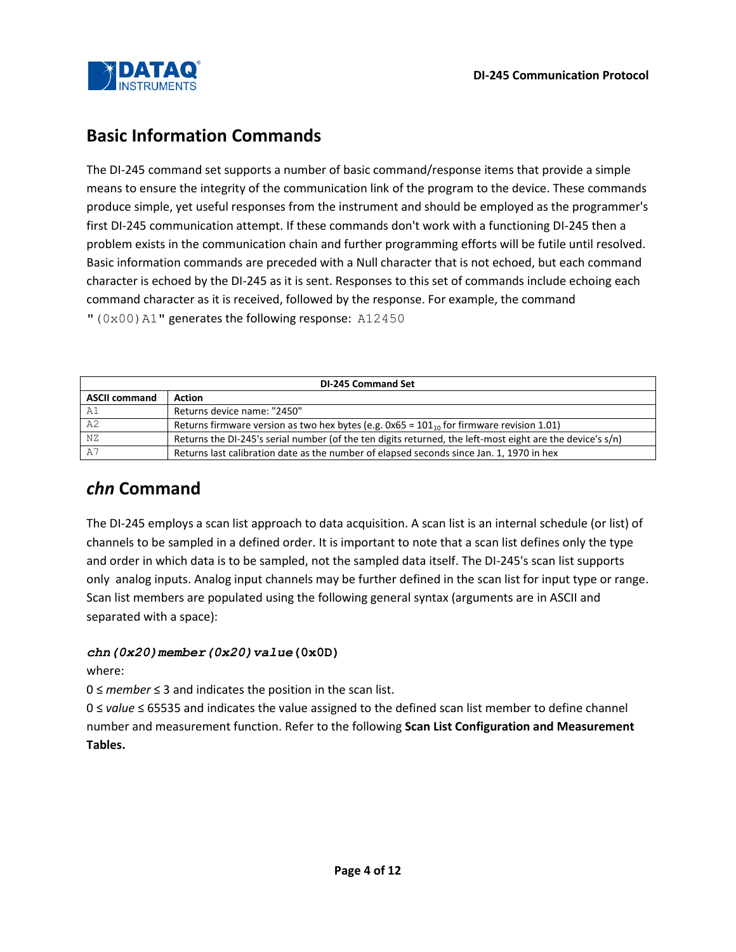

# **Basic Information Commands**

The DI-245 command set supports a number of basic command/response items that provide a simple means to ensure the integrity of the communication link of the program to the device. These commands produce simple, yet useful responses from the instrument and should be employed as the programmer's first DI-245 communication attempt. If these commands don't work with a functioning DI-245 then a problem exists in the communication chain and further programming efforts will be futile until resolved. Basic information commands are preceded with a Null character that is not echoed, but each command character is echoed by the DI-245 as it is sent. Responses to this set of commands include echoing each command character as it is received, followed by the response. For example, the command  $\frac{1}{2}$  (0x00) A1" generates the following response: A12450

| <b>DI-245 Command Set</b> |                                                                                                           |  |  |  |  |  |  |  |  |
|---------------------------|-----------------------------------------------------------------------------------------------------------|--|--|--|--|--|--|--|--|
| <b>ASCII command</b>      | Action                                                                                                    |  |  |  |  |  |  |  |  |
| A1                        | Returns device name: "2450"                                                                               |  |  |  |  |  |  |  |  |
| A <sub>2</sub>            | Returns firmware version as two hex bytes (e.g. $0x65 = 101_{10}$ for firmware revision 1.01)             |  |  |  |  |  |  |  |  |
| NZ                        | Returns the DI-245's serial number (of the ten digits returned, the left-most eight are the device's s/n) |  |  |  |  |  |  |  |  |
| $A^7$                     | Returns last calibration date as the number of elapsed seconds since Jan. 1, 1970 in hex                  |  |  |  |  |  |  |  |  |

# *chn* **Command**

The DI-245 employs a scan list approach to data acquisition. A scan list is an internal schedule (or list) of channels to be sampled in a defined order. It is important to note that a scan list defines only the type and order in which data is to be sampled, not the sampled data itself. The DI-245's scan list supports only analog inputs. Analog input channels may be further defined in the scan list for input type or range. Scan list members are populated using the following general syntax (arguments are in ASCII and separated with a space):

### *chn(0x20)member(0x20)value***(0x0D)**

where:

0 ≤ *member* ≤ 3 and indicates the position in the scan list.

0 ≤ *value* ≤ 65535 and indicates the value assigned to the defined scan list member to define channel number and measurement function. Refer to the following **Scan List Configuration and Measurement Tables.**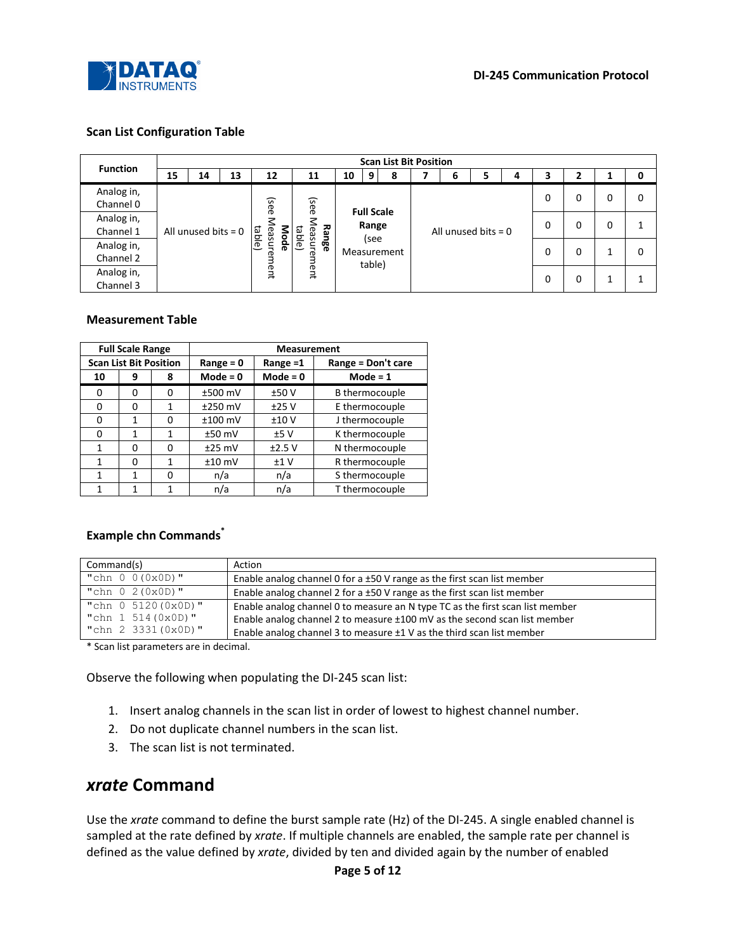

#### **Scan List Configuration Table**

| <b>Function</b>         |    | <b>Scan List Bit Position</b>               |             |                                   |        |                                        |   |   |  |   |                       |   |          |   |   |   |
|-------------------------|----|---------------------------------------------|-------------|-----------------------------------|--------|----------------------------------------|---|---|--|---|-----------------------|---|----------|---|---|---|
|                         | 15 | 14                                          | 13          | 12                                | 11     | 10                                     | 9 | 8 |  | 6 | 5                     | 4 | 3        |   |   | 0 |
| Analog in,<br>Channel 0 |    |                                             |             | (see<br>(see<br><b>Full Scale</b> |        |                                        |   |   |  |   |                       |   | $\Omega$ | 0 | 0 | 0 |
| Analog in,<br>Channel 1 |    | table)<br>eas<br>All unused bits $= 0$<br>۰ |             |                                   |        | Range<br>∕leas<br>Range<br>qen<br>(see |   |   |  |   | All unused bits $= 0$ |   | $\Omega$ | 0 | 0 |   |
| Analog in,<br>Channel 2 |    | နူ<br>Ξ                                     | Ĕ<br>ூ<br>ന |                                   | table) | Measurement                            |   |   |  |   | 0                     | 0 |          | 0 |   |   |
| Analog in,<br>Channel 3 |    | ement<br>eut                                |             |                                   |        |                                        |   |   |  |   |                       |   | 0        | 0 |   |   |

#### **Measurement Table**

|    | <b>Full Scale Range</b>       |   | <b>Measurement</b> |            |                    |  |  |  |  |  |  |
|----|-------------------------------|---|--------------------|------------|--------------------|--|--|--|--|--|--|
|    | <b>Scan List Bit Position</b> |   | Range = $0$        | Range $=1$ | Range = Don't care |  |  |  |  |  |  |
| 10 | 9                             | 8 | $Mode = 0$         | $Mode = 0$ | $Mode = 1$         |  |  |  |  |  |  |
| 0  | 0                             | 0 | ±500 mV            | ±50V       | B thermocouple     |  |  |  |  |  |  |
| 0  | 0                             | 1 | $±250$ mV          | ±25V       | E thermocouple     |  |  |  |  |  |  |
| 0  | 1                             | 0 | $±100$ mV          | ±10V       | J thermocouple     |  |  |  |  |  |  |
| 0  | 1                             | 1 | $±50$ mV           | ±5V        | K thermocouple     |  |  |  |  |  |  |
| 1  | 0                             | n | $±25$ mV           | ±2.5V      | N thermocouple     |  |  |  |  |  |  |
| 1  | 0                             | 1 | $±10$ mV           | ±1V        | R thermocouple     |  |  |  |  |  |  |
| 1  | 1                             | 0 | n/a                | n/a        | S thermocouple     |  |  |  |  |  |  |
| 1  | 1                             |   | n/a                | n/a        | T thermocouple     |  |  |  |  |  |  |

#### **Example chn Commands\***

| Command(s)              | Action                                                                        |
|-------------------------|-------------------------------------------------------------------------------|
| "chn $0$ $0$ $(0x0D)$ " | Enable analog channel 0 for a ±50 V range as the first scan list member       |
| "chn $0 2(0x0D)$ "      | Enable analog channel 2 for a ±50 V range as the first scan list member       |
| "chn $0$ 5120 (0x0D)"   | Enable analog channel 0 to measure an N type TC as the first scan list member |
| "chn $1\,514(0x0D)$ "   | Enable analog channel 2 to measure ±100 mV as the second scan list member     |
| "chn 2 3331 (0x0D)"     | Enable analog channel 3 to measure ±1 V as the third scan list member         |

\* Scan list parameters are in decimal.

Observe the following when populating the DI-245 scan list:

- 1. Insert analog channels in the scan list in order of lowest to highest channel number.
- 2. Do not duplicate channel numbers in the scan list.
- 3. The scan list is not terminated.

### *xrate* **Command**

Use the *xrate* command to define the burst sample rate (Hz) of the DI-245. A single enabled channel is sampled at the rate defined by *xrate*. If multiple channels are enabled, the sample rate per channel is defined as the value defined by *xrate*, divided by ten and divided again by the number of enabled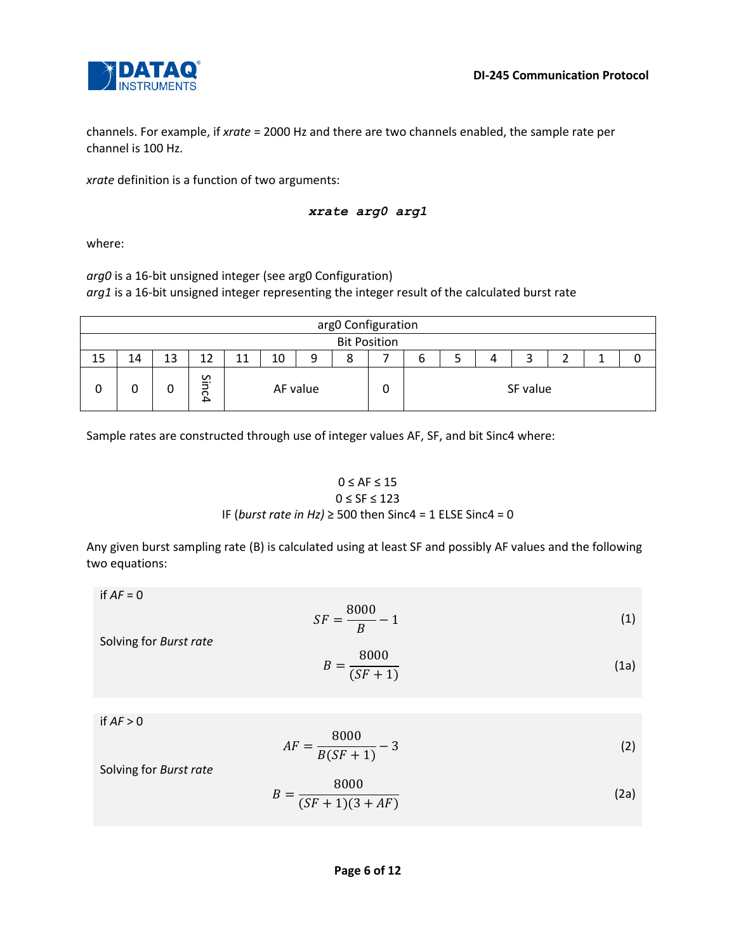

channels. For example, if *xrate* = 2000 Hz and there are two channels enabled, the sample rate per channel is 100 Hz.

*xrate* definition is a function of two arguments:

#### *xrate arg0 arg1*

where:

*arg0* is a 16-bit unsigned integer (see arg0 Configuration) *arg1* is a 16-bit unsigned integer representing the integer result of the calculated burst rate

|    | arg0 Configuration                                   |  |                   |  |  |          |  |   |  |  |  |          |  |  |  |
|----|------------------------------------------------------|--|-------------------|--|--|----------|--|---|--|--|--|----------|--|--|--|
|    | <b>Bit Position</b>                                  |  |                   |  |  |          |  |   |  |  |  |          |  |  |  |
| 15 | 13<br>10<br>$\circ$<br>12<br>q<br>14<br>11<br>b<br>٥ |  |                   |  |  |          |  |   |  |  |  |          |  |  |  |
|    |                                                      |  | S<br>÷.<br>റ<br>Ä |  |  | AF value |  | 0 |  |  |  | SF value |  |  |  |

Sample rates are constructed through use of integer values AF, SF, and bit Sinc4 where:

### $0 \le AF \le 15$  $0 \leq SF \leq 123$ IF (*burst rate in Hz)* ≥ 500 then Sinc4 = 1 ELSE Sinc4 = 0

Any given burst sampling rate (B) is calculated using at least SF and possibly AF values and the following two equations:

if  $AF = 0$  $\mathcal{S}_{0}^{(n)}$ 8  $\boldsymbol{B}$  $-1$  (1)

Solving for *Burst rate*

$$
B = \frac{8000}{(SF + 1)}
$$
 (1a)

if  $AF > 0$ 

$$
AF = \frac{8000}{B(SF + 1)} - 3\tag{2}
$$

Solving for *Burst rate*

$$
B = \frac{8000}{(SF + 1)(3 + AF)}
$$
 (2a)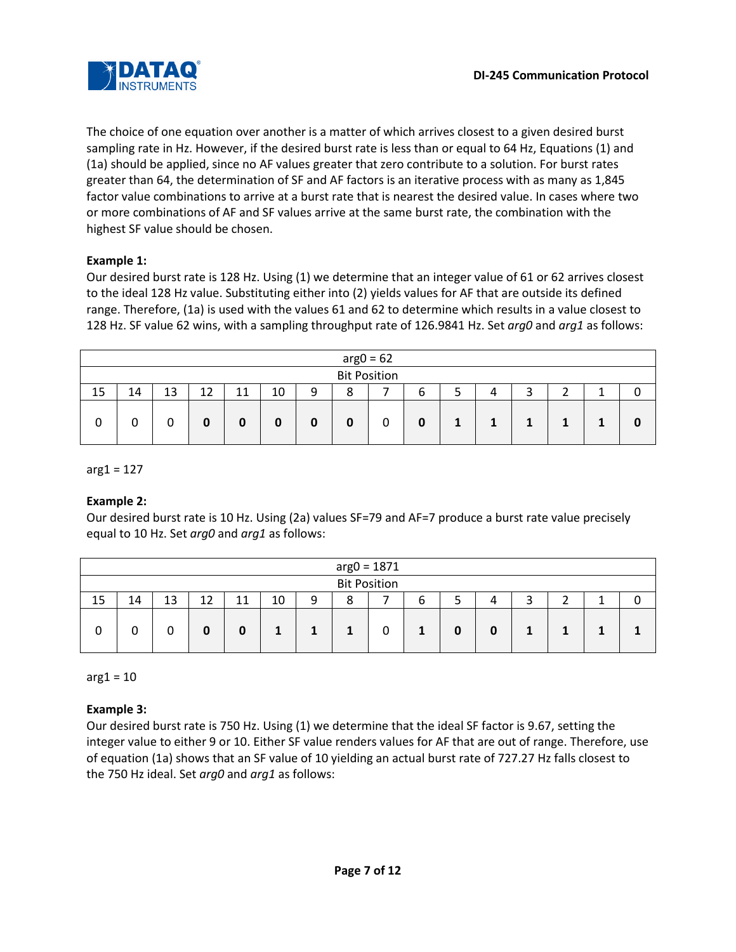

The choice of one equation over another is a matter of which arrives closest to a given desired burst sampling rate in Hz. However, if the desired burst rate is less than or equal to 64 Hz, Equations (1) and (1a) should be applied, since no AF values greater that zero contribute to a solution. For burst rates greater than 64, the determination of SF and AF factors is an iterative process with as many as 1,845 factor value combinations to arrive at a burst rate that is nearest the desired value. In cases where two or more combinations of AF and SF values arrive at the same burst rate, the combination with the highest SF value should be chosen.

### **Example 1:**

Our desired burst rate is 128 Hz. Using (1) we determine that an integer value of 61 or 62 arrives closest to the ideal 128 Hz value. Substituting either into (2) yields values for AF that are outside its defined range. Therefore, (1a) is used with the values 61 and 62 to determine which results in a value closest to 128 Hz. SF value 62 wins, with a sampling throughput rate of 126.9841 Hz. Set *arg0* and *arg1* as follows:

|    | $arg0 = 62$         |    |    |    |    |   |   |   |        |  |   |   |  |  |
|----|---------------------|----|----|----|----|---|---|---|--------|--|---|---|--|--|
|    | <b>Bit Position</b> |    |    |    |    |   |   |   |        |  |   |   |  |  |
| 15 | 14                  | 13 | 12 | 11 | 10 | 9 | 8 |   | ∽<br>b |  | 4 | ◠ |  |  |
| 0  | υ                   |    | 0  | 0  | 0  | 0 | 0 | 0 | 0      |  | 1 | 1 |  |  |

 $arg1 = 127$ 

### **Example 2:**

Our desired burst rate is 10 Hz. Using (2a) values SF=79 and AF=7 produce a burst rate value precisely equal to 10 Hz. Set *arg0* and *arg1* as follows:

|    | $arg0 = 1871$       |    |    |    |    |   |              |   |   |  |   |   |  |  |
|----|---------------------|----|----|----|----|---|--------------|---|---|--|---|---|--|--|
|    | <b>Bit Position</b> |    |    |    |    |   |              |   |   |  |   |   |  |  |
| 15 | 14                  | 13 | 12 | 11 | 10 | 9 | $\circ$<br>٥ |   | b |  |   | ◠ |  |  |
|    | U                   |    | 0  |    |    |   |              | 0 |   |  | 0 |   |  |  |

 $arg1 = 10$ 

### **Example 3:**

Our desired burst rate is 750 Hz. Using (1) we determine that the ideal SF factor is 9.67, setting the integer value to either 9 or 10. Either SF value renders values for AF that are out of range. Therefore, use of equation (1a) shows that an SF value of 10 yielding an actual burst rate of 727.27 Hz falls closest to the 750 Hz ideal. Set *arg0* and *arg1* as follows: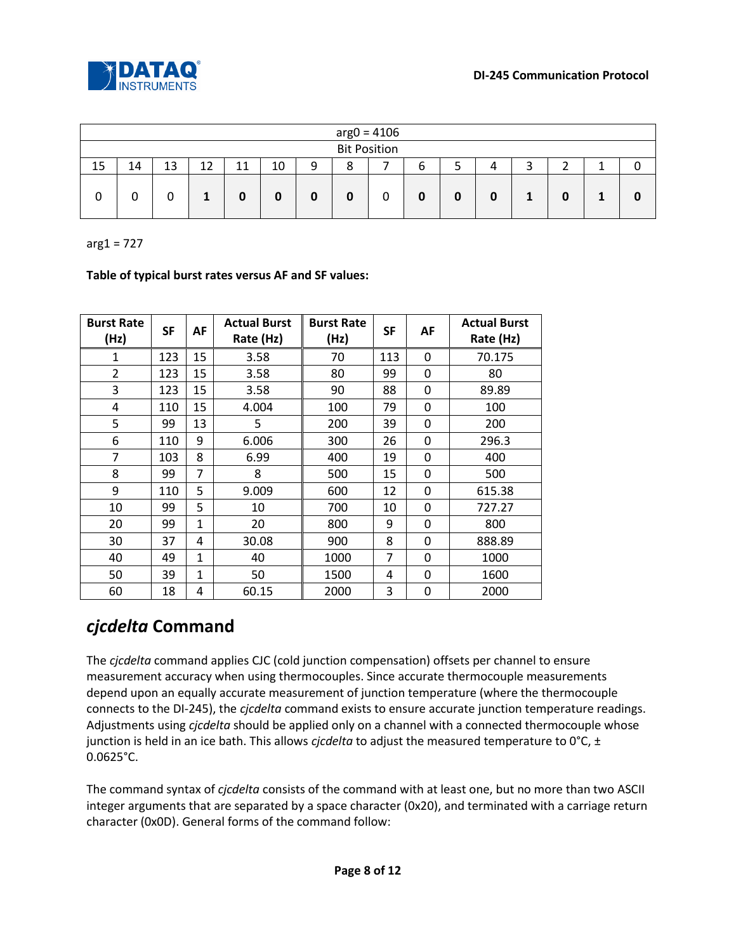

|    |                     |    |    |    |    |   | $arg0 = 4106$ |  |        |   |   |   |  |  |
|----|---------------------|----|----|----|----|---|---------------|--|--------|---|---|---|--|--|
|    | <b>Bit Position</b> |    |    |    |    |   |               |  |        |   |   |   |  |  |
| 15 | 14                  | 13 | 12 | 11 | 10 | 9 | 8             |  | ∽<br>b |   | 4 | ∽ |  |  |
| υ  |                     |    |    |    |    | 0 | 0             |  | 0      | 0 | 0 |   |  |  |

arg1 = 727

#### **Table of typical burst rates versus AF and SF values:**

| <b>Burst Rate</b><br>(Hz) | <b>SF</b> | AF           | <b>Actual Burst</b><br>Rate (Hz) | <b>Burst Rate</b><br>(Hz) | <b>SF</b> | AF           | <b>Actual Burst</b><br>Rate (Hz) |
|---------------------------|-----------|--------------|----------------------------------|---------------------------|-----------|--------------|----------------------------------|
| 1                         | 123       | 15           | 3.58                             | 70                        | 113       | 0            | 70.175                           |
| $\overline{2}$            | 123       | 15           | 3.58                             | 80                        | 99        | 0            | 80                               |
| 3                         | 123       | 15           | 3.58                             | 90                        | 88        | $\mathbf{0}$ | 89.89                            |
| 4                         | 110       | 15           | 4.004                            | 100                       | 79        | 0            | 100                              |
| 5                         | 99        | 13           | 5                                | 200                       | 39        | $\mathbf{0}$ | 200                              |
| 6                         | 110       | 9            | 6.006                            | 300                       | 26        | 0            | 296.3                            |
| $\overline{7}$            | 103       | 8            | 6.99                             | 400                       | 19        | 0            | 400                              |
| 8                         | 99        | 7            | 8                                | 500                       | 15        | $\mathbf{0}$ | 500                              |
| 9                         | 110       | 5            | 9.009                            | 600                       | 12        | 0            | 615.38                           |
| 10                        | 99        | 5            | 10                               | 700                       | 10        | 0            | 727.27                           |
| 20                        | 99        | $\mathbf{1}$ | 20                               | 800                       | 9         | 0            | 800                              |
| 30                        | 37        | 4            | 30.08                            | 900                       | 8         | 0            | 888.89                           |
| 40                        | 49        | $\mathbf{1}$ | 40                               | 1000                      | 7         | $\mathbf{0}$ | 1000                             |
| 50                        | 39        | $\mathbf{1}$ | 50                               | 1500                      | 4         | $\mathbf{0}$ | 1600                             |
| 60                        | 18        | 4            | 60.15                            | 2000                      | 3         | 0            | 2000                             |

# *cjcdelta* **Command**

The *cjcdelta* command applies CJC (cold junction compensation) offsets per channel to ensure measurement accuracy when using thermocouples. Since accurate thermocouple measurements depend upon an equally accurate measurement of junction temperature (where the thermocouple connects to the DI-245), the *cjcdelta* command exists to ensure accurate junction temperature readings. Adjustments using *cjcdelta* should be applied only on a channel with a connected thermocouple whose junction is held in an ice bath. This allows *cjcdelta* to adjust the measured temperature to 0°C, ± 0.0625°C.

The command syntax of *cjcdelta* consists of the command with at least one, but no more than two ASCII integer arguments that are separated by a space character (0x20), and terminated with a carriage return character (0x0D). General forms of the command follow: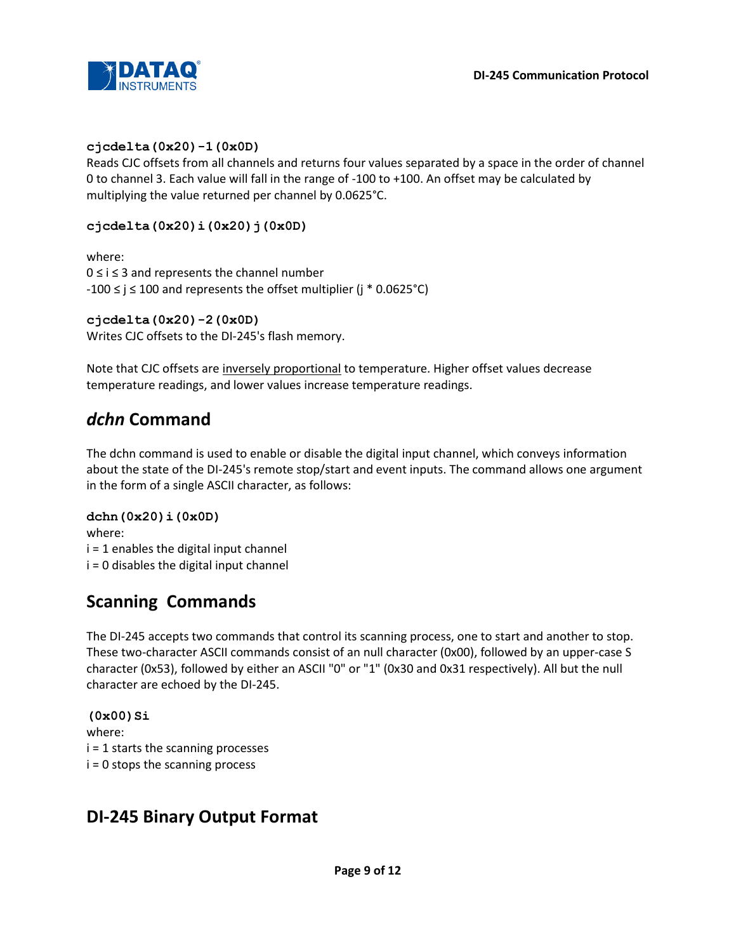

#### **cjcdelta(0x20)-1(0x0D)**

Reads CJC offsets from all channels and returns four values separated by a space in the order of channel 0 to channel 3. Each value will fall in the range of -100 to +100. An offset may be calculated by multiplying the value returned per channel by 0.0625°C.

**cjcdelta(0x20)i(0x20)j(0x0D)**

where:  $0 \le i \le 3$  and represents the channel number  $-100 \le j \le 100$  and represents the offset multiplier (j \* 0.0625°C)

### **cjcdelta(0x20)-2(0x0D)**

Writes CJC offsets to the DI-245's flash memory.

Note that CJC offsets are inversely proportional to temperature. Higher offset values decrease temperature readings, and lower values increase temperature readings.

### *dchn* **Command**

The dchn command is used to enable or disable the digital input channel, which conveys information about the state of the DI-245's remote stop/start and event inputs. The command allows one argument in the form of a single ASCII character, as follows:

### **dchn(0x20)i(0x0D)**

where: i = 1 enables the digital input channel i = 0 disables the digital input channel

### **Scanning Commands**

The DI-245 accepts two commands that control its scanning process, one to start and another to stop. These two-character ASCII commands consist of an null character (0x00), followed by an upper-case S character (0x53), followed by either an ASCII "0" or "1" (0x30 and 0x31 respectively). All but the null character are echoed by the DI-245.

**(0x00)Si** where: i = 1 starts the scanning processes i = 0 stops the scanning process

# **DI-245 Binary Output Format**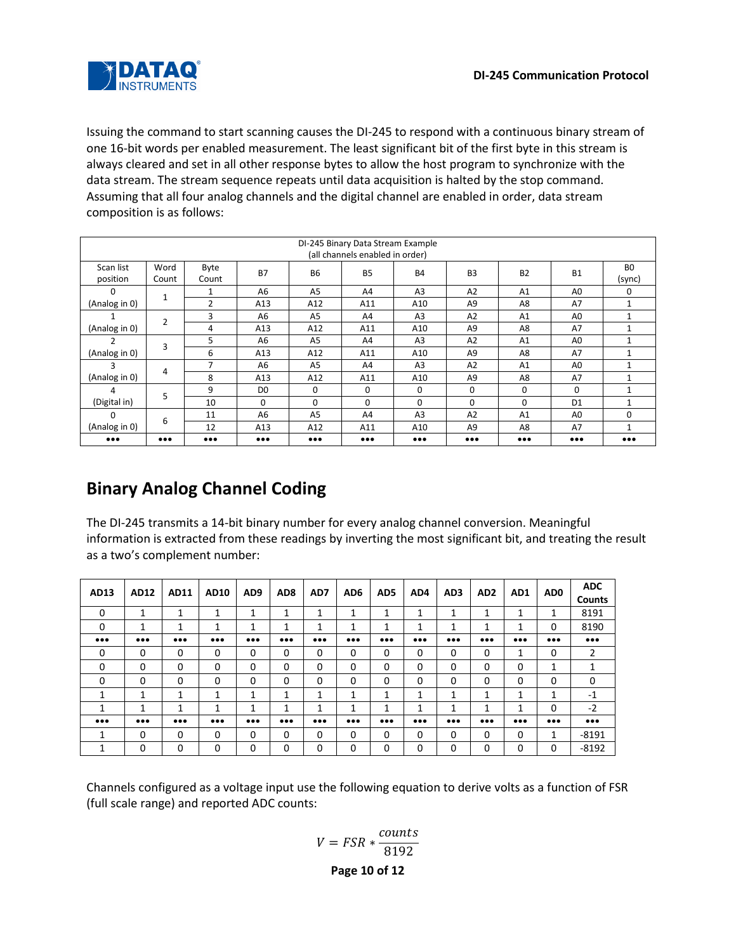

Issuing the command to start scanning causes the DI-245 to respond with a continuous binary stream of one 16-bit words per enabled measurement. The least significant bit of the first byte in this stream is always cleared and set in all other response bytes to allow the host program to synchronize with the data stream. The stream sequence repeats until data acquisition is halted by the stop command. Assuming that all four analog channels and the digital channel are enabled in order, data stream composition is as follows:

| DI-245 Binary Data Stream Example |                         |                         |                         |                         |                                 |                |                |                |                         |                         |  |
|-----------------------------------|-------------------------|-------------------------|-------------------------|-------------------------|---------------------------------|----------------|----------------|----------------|-------------------------|-------------------------|--|
|                                   |                         |                         |                         |                         |                                 |                |                |                |                         |                         |  |
|                                   |                         |                         |                         |                         | (all channels enabled in order) |                |                |                |                         |                         |  |
| Scan list                         | Word                    | Byte                    | <b>B7</b>               | <b>B6</b>               | <b>B5</b>                       | <b>B4</b>      | B <sub>3</sub> | <b>B2</b>      | <b>B1</b>               | B <sub>0</sub>          |  |
| position                          | Count                   | Count                   |                         |                         |                                 |                |                |                |                         | (sync)                  |  |
| 0                                 | $\mathbf{1}$            | $\mathbf{1}$            | A6                      | A <sub>5</sub>          | A4                              | A <sub>3</sub> | A2             | A <sub>1</sub> | A <sub>0</sub>          | $\Omega$                |  |
| (Analog in 0)                     |                         | $\overline{2}$          | A13                     | A12                     | A11                             | A10            | A <sub>9</sub> | A8             | A7                      | $\mathbf{1}$            |  |
|                                   | $\overline{2}$          | 3                       | A6                      | A <sub>5</sub>          | A <sub>4</sub>                  | A <sub>3</sub> | A2             | A <sub>1</sub> | A <sub>0</sub>          |                         |  |
| (Analog in 0)                     |                         | 4                       | A13                     | A12                     | A11                             | A10            | A <sub>9</sub> | A8             | A7                      |                         |  |
| $\overline{2}$                    | 3                       | 5                       | A6                      | A <sub>5</sub>          | A4                              | A <sub>3</sub> | A2             | A <sub>1</sub> | A <sub>0</sub>          |                         |  |
| (Analog in 0)                     |                         | 6                       | A13                     | A12                     | A11                             | A10            | A <sub>9</sub> | A8             | A7                      | 1                       |  |
| 3                                 | 4                       | $\overline{ }$          | A6                      | A <sub>5</sub>          | A4                              | A <sub>3</sub> | A2             | A <sub>1</sub> | A <sub>0</sub>          | 1                       |  |
| (Analog in 0)                     |                         | 8                       | A13                     | A12                     | A11                             | A10            | A <sub>9</sub> | A8             | A7                      |                         |  |
| 4                                 | 5                       | 9                       | D <sub>0</sub>          | 0                       | $\mathbf 0$                     | $\mathbf 0$    | $\Omega$       | $\mathbf 0$    | $\Omega$                |                         |  |
| (Digital in)                      |                         | 10                      | $\Omega$                | $\Omega$                | $\Omega$                        | $\mathbf 0$    | $\Omega$       | $\Omega$       | D <sub>1</sub>          |                         |  |
| $\Omega$                          |                         | 11                      | A6                      | A <sub>5</sub>          | A <sub>4</sub>                  | A <sub>3</sub> | A2             | A <sub>1</sub> | A <sub>0</sub>          | $\Omega$                |  |
| (Analog in 0)                     | 6                       | 12                      | A13                     | A12                     | A11                             | A10            | A <sub>9</sub> | A8             | A7                      | 1                       |  |
| $\bullet\bullet\bullet$           | $\bullet\bullet\bullet$ | $\bullet\bullet\bullet$ | $\bullet\bullet\bullet$ | $\bullet\bullet\bullet$ | $\bullet\bullet\bullet$         |                |                |                | $\bullet\bullet\bullet$ | $\bullet\bullet\bullet$ |  |

# **Binary Analog Channel Coding**

The DI-245 transmits a 14-bit binary number for every analog channel conversion. Meaningful information is extracted from these readings by inverting the most significant bit, and treating the result as a two's complement number:

| AD13                    | <b>AD12</b>             | AD11 | <b>AD10</b>             | AD <sub>9</sub> | AD <sub>8</sub> | AD7                     | AD <sub>6</sub>         | AD5      | AD4                            | AD <sub>3</sub> | AD <sub>2</sub> | AD1                     | AD <sub>0</sub> | <b>ADC</b><br><b>Counts</b> |
|-------------------------|-------------------------|------|-------------------------|-----------------|-----------------|-------------------------|-------------------------|----------|--------------------------------|-----------------|-----------------|-------------------------|-----------------|-----------------------------|
| 0                       | 1                       | 4    | 1                       | 1               | 1               | 1<br>T                  | 1<br>┻                  | 1        | $\overline{\phantom{a}}$<br>÷. | 1<br>J.         | 1               | и<br>T.                 | 1               | 8191                        |
| 0                       | 1                       | 1    | 1                       | 1               | 1               | 1<br>┸                  | 1<br>┻                  | 1        | 1<br>÷.                        | 1               | ◢               | 1<br>⊥                  | 0               | 8190                        |
| $\bullet\bullet\bullet$ | $\bullet\bullet\bullet$ |      | $\bullet\bullet\bullet$ |                 |                 | $\bullet\bullet\bullet$ | $\bullet\bullet\bullet$ |          | $\bullet\bullet\bullet$        |                 |                 | $\bullet\bullet\bullet$ |                 | $\bullet\bullet\bullet$     |
| 0                       | $\Omega$                | 0    | 0                       | 0               | 0               | $\Omega$                | 0                       | $\Omega$ | $\Omega$                       | 0               | 0               | 1                       | 0               | 2                           |
| 0                       | 0                       | 0    | 0                       | 0               | 0               | $\Omega$                | 0                       | $\Omega$ | $\Omega$                       | $\Omega$        | 0               | $\Omega$                | 1<br>J.         | 1                           |
| 0                       | $\Omega$                | 0    | 0                       | 0               | 0               | $\Omega$                | 0                       | $\Omega$ | $\Omega$                       | 0               | 0               | $\Omega$                | 0               | 0                           |
| 1<br>J.                 | 1                       | 1    | 1                       | 1<br>┻          | 1               | 1                       | 1<br>Ŧ.                 | 1        | 1                              | 1<br>┻          | 1               | 1                       | 1<br>┸          | $-1$                        |
| и                       | 1                       |      | J.                      | 1<br>┻          | 1               | 1                       | 1<br>┻                  | 1        | ٠<br>ᆠ                         | 1<br>┻          | 1               | 1<br>┻                  | 0               | $-2$                        |
| $\bullet\bullet\bullet$ |                         |      | $\bullet\bullet\bullet$ |                 |                 | $\bullet\bullet\bullet$ | $\bullet\bullet\bullet$ |          | $\bullet\bullet\bullet$        |                 |                 | $\bullet\bullet\bullet$ |                 | $\bullet\bullet\bullet$     |
| 1                       | $\Omega$                | 0    | 0                       | 0               | 0               | 0                       | 0                       | $\Omega$ | 0                              | 0               | 0               | $\Omega$                | 1               | $-8191$                     |
| 1                       | 0                       | 0    | 0                       | 0               | 0               | $\Omega$                | 0                       | 0        | 0                              | $\Omega$        | 0               | $\Omega$                | $\Omega$        | $-8192$                     |

Channels configured as a voltage input use the following equation to derive volts as a function of FSR (full scale range) and reported ADC counts:

> **Page 10 of 12** V  $\mathcal{C}_{0}$ 8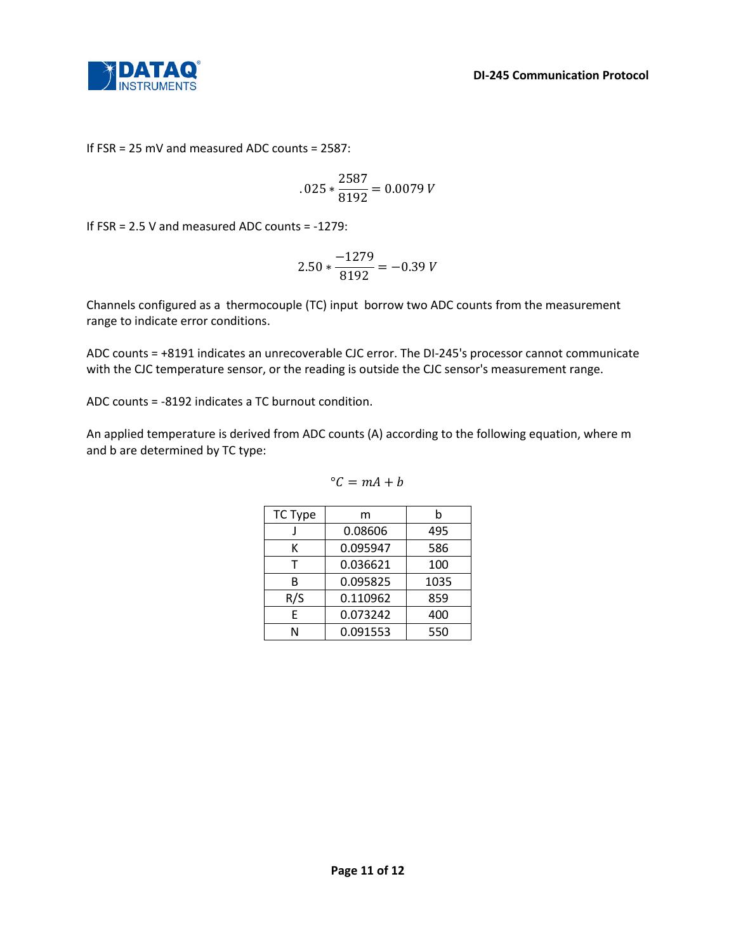

**DI-245 Communication Protocol**

If FSR = 25 mV and measured ADC counts = 2587:

$$
.025 * \frac{2587}{8192} = 0.0079 V
$$

If FSR = 2.5 V and measured ADC counts = -1279:

$$
2.50 * \frac{-1279}{8192} = -0.39 V
$$

Channels configured as a thermocouple (TC) input borrow two ADC counts from the measurement range to indicate error conditions.

ADC counts = +8191 indicates an unrecoverable CJC error. The DI-245's processor cannot communicate with the CJC temperature sensor, or the reading is outside the CJC sensor's measurement range.

ADC counts = -8192 indicates a TC burnout condition.

An applied temperature is derived from ADC counts (A) according to the following equation, where m and b are determined by TC type:

$$
{}^{\circ}C = mA + b
$$

| TC Type | m        | h    |  |  |
|---------|----------|------|--|--|
|         | 0.08606  | 495  |  |  |
| ĸ       | 0.095947 | 586  |  |  |
| т       | 0.036621 | 100  |  |  |
| B       | 0.095825 | 1035 |  |  |
| R/S     | 0.110962 | 859  |  |  |
| F       | 0.073242 | 400  |  |  |
| N       | 0.091553 | 550  |  |  |